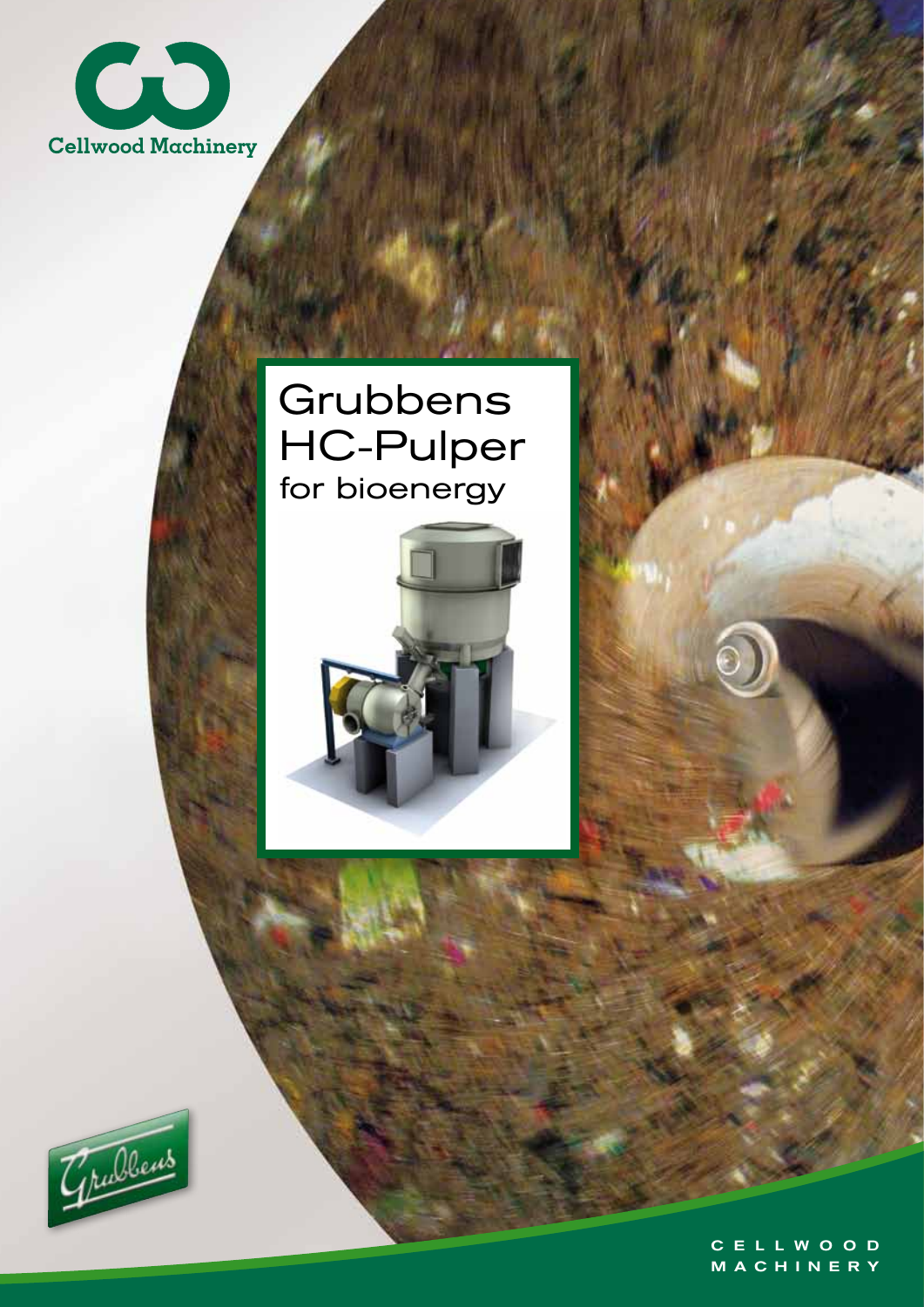

## HC-Pulper for bioenergy **Grubbens**





C E L L W O O D M A C H I N E R Y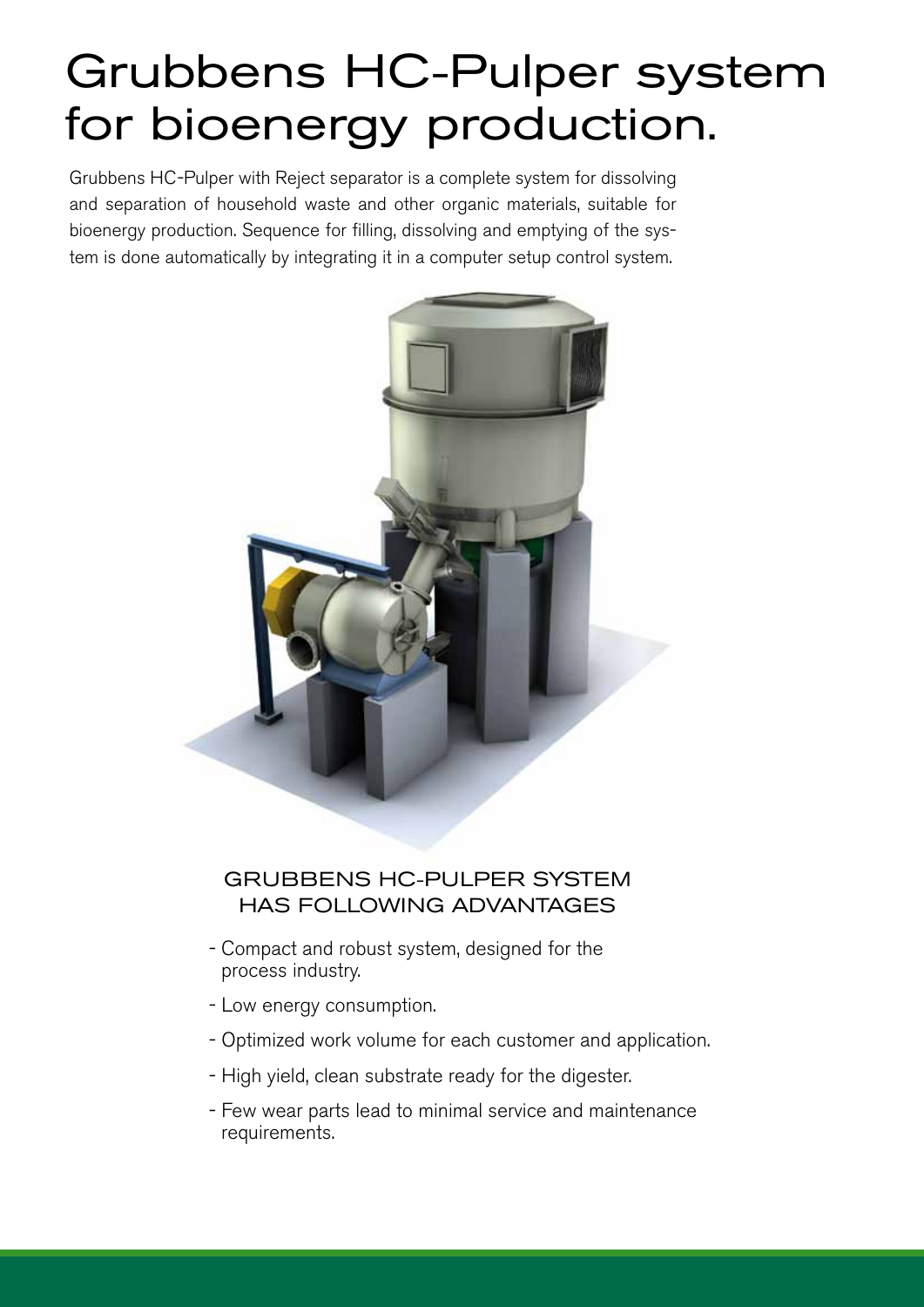# Grubbens HC-Pulper system for bioenergy production.

Grubbens HC-Pulper with Reject separator is a complete system for dissolving and separation of household waste and other organic materials, suitable for bioenergy production. Sequence for filling, dissolving and emptying of the system is done automatically by integrating it in a computer setup control system.



### GRUBBENS HC-PULPER SYSTEM HAS FOLLOWING ADVANTAGES

- Compact and robust system, designed for the process industry.
- Low energy consumption.
- Optimized work volume for each customer and application.
- High yield, clean substrate ready for the digester.
- Few wear parts lead to minimal service and maintenance requirements.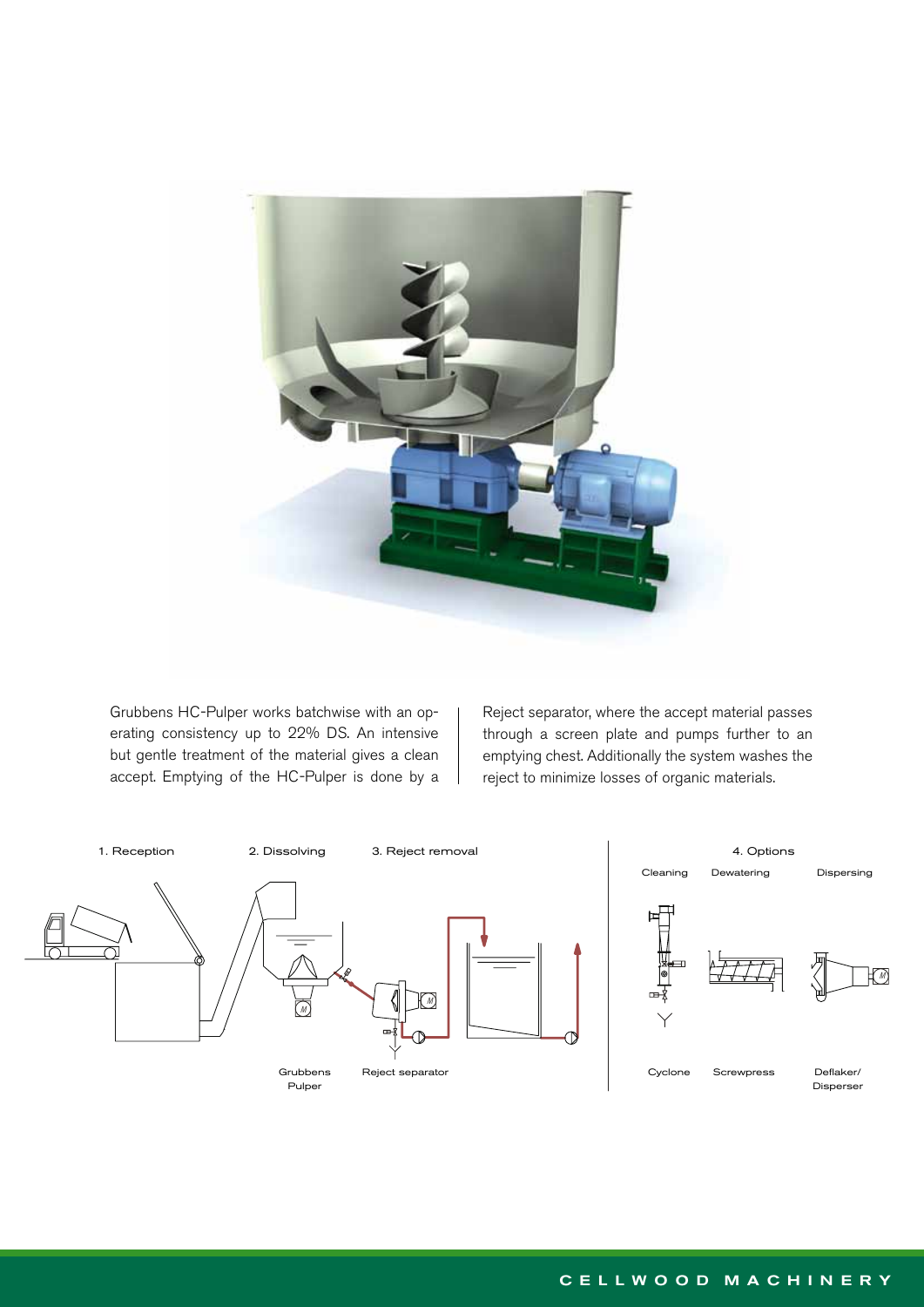

Grubbens HC-Pulper works batchwise with an operating consistency up to 22% DS. An intensive but gentle treatment of the material gives a clean accept. Emptying of the HC-Pulper is done by a Reject separator, where the accept material passes through a screen plate and pumps further to an emptying chest. Additionally the system washes the reject to minimize losses of organic materials.